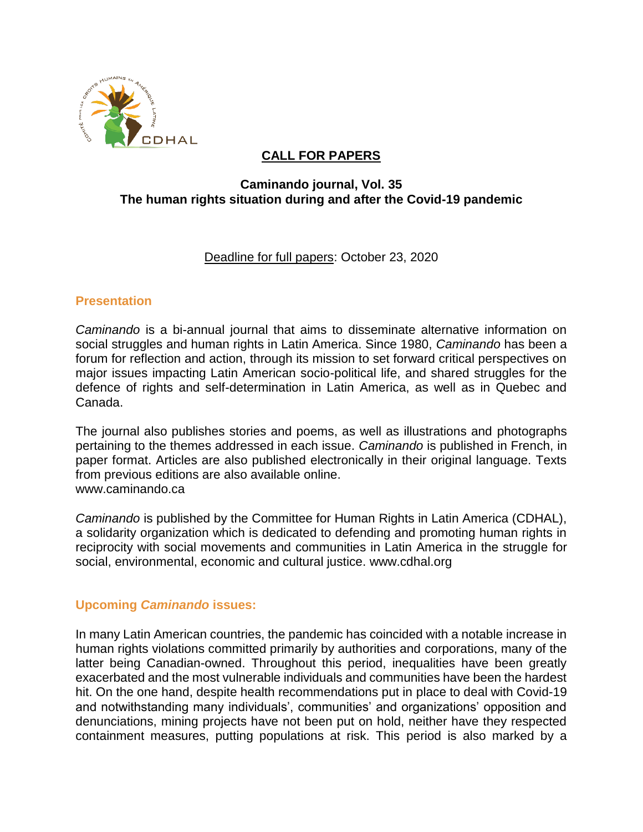

# **CALL FOR PAPERS**

# **Caminando journal, Vol. 35 The human rights situation during and after the Covid-19 pandemic**

# Deadline for full papers: October 23, 2020

#### **Presentation**

*Caminando* is a bi-annual journal that aims to disseminate alternative information on social struggles and human rights in Latin America. Since 1980, *Caminando* has been a forum for reflection and action, through its mission to set forward critical perspectives on major issues impacting Latin American socio-political life, and shared struggles for the defence of rights and self-determination in Latin America, as well as in Quebec and Canada.

The journal also publishes stories and poems, as well as illustrations and photographs pertaining to the themes addressed in each issue. *Caminando* is published in French, in paper format. Articles are also published electronically in their original language. Texts from previous editions are also available online. www.caminando.ca

*Caminando* is published by the Committee for Human Rights in Latin America (CDHAL), a solidarity organization which is dedicated to defending and promoting human rights in reciprocity with social movements and communities in Latin America in the struggle for social, environmental, economic and cultural justice. www.cdhal.org

# **Upcoming** *Caminando* **issues:**

In many Latin American countries, the pandemic has coincided with a notable increase in human rights violations committed primarily by authorities and corporations, many of the latter being Canadian-owned. Throughout this period, inequalities have been greatly exacerbated and the most vulnerable individuals and communities have been the hardest hit. On the one hand, despite health recommendations put in place to deal with Covid-19 and notwithstanding many individuals', communities' and organizations' opposition and denunciations, mining projects have not been put on hold, neither have they respected containment measures, putting populations at risk. This period is also marked by a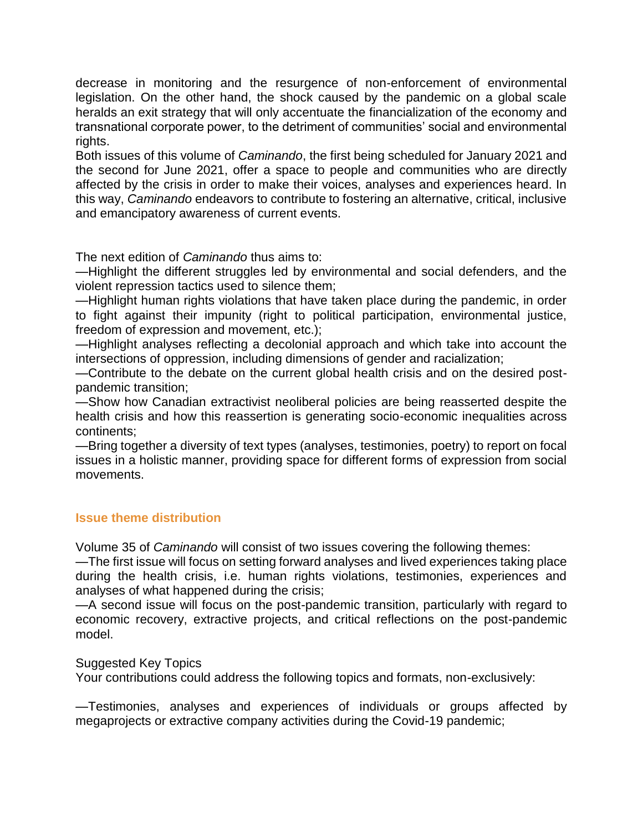decrease in monitoring and the resurgence of non-enforcement of environmental legislation. On the other hand, the shock caused by the pandemic on a global scale heralds an exit strategy that will only accentuate the financialization of the economy and transnational corporate power, to the detriment of communities' social and environmental rights.

Both issues of this volume of *Caminando*, the first being scheduled for January 2021 and the second for June 2021, offer a space to people and communities who are directly affected by the crisis in order to make their voices, analyses and experiences heard. In this way, *Caminando* endeavors to contribute to fostering an alternative, critical, inclusive and emancipatory awareness of current events.

The next edition of *Caminando* thus aims to:

—Highlight the different struggles led by environmental and social defenders, and the violent repression tactics used to silence them;

—Highlight human rights violations that have taken place during the pandemic, in order to fight against their impunity (right to political participation, environmental justice, freedom of expression and movement, etc.);

—Highlight analyses reflecting a decolonial approach and which take into account the intersections of oppression, including dimensions of gender and racialization;

—Contribute to the debate on the current global health crisis and on the desired postpandemic transition;

—Show how Canadian extractivist neoliberal policies are being reasserted despite the health crisis and how this reassertion is generating socio-economic inequalities across continents;

—Bring together a diversity of text types (analyses, testimonies, poetry) to report on focal issues in a holistic manner, providing space for different forms of expression from social movements.

# **Issue theme distribution**

Volume 35 of *Caminando* will consist of two issues covering the following themes:

—The first issue will focus on setting forward analyses and lived experiences taking place during the health crisis, i.e. human rights violations, testimonies, experiences and analyses of what happened during the crisis;

—A second issue will focus on the post-pandemic transition, particularly with regard to economic recovery, extractive projects, and critical reflections on the post-pandemic model.

Suggested Key Topics

Your contributions could address the following topics and formats, non-exclusively:

—Testimonies, analyses and experiences of individuals or groups affected by megaprojects or extractive company activities during the Covid-19 pandemic;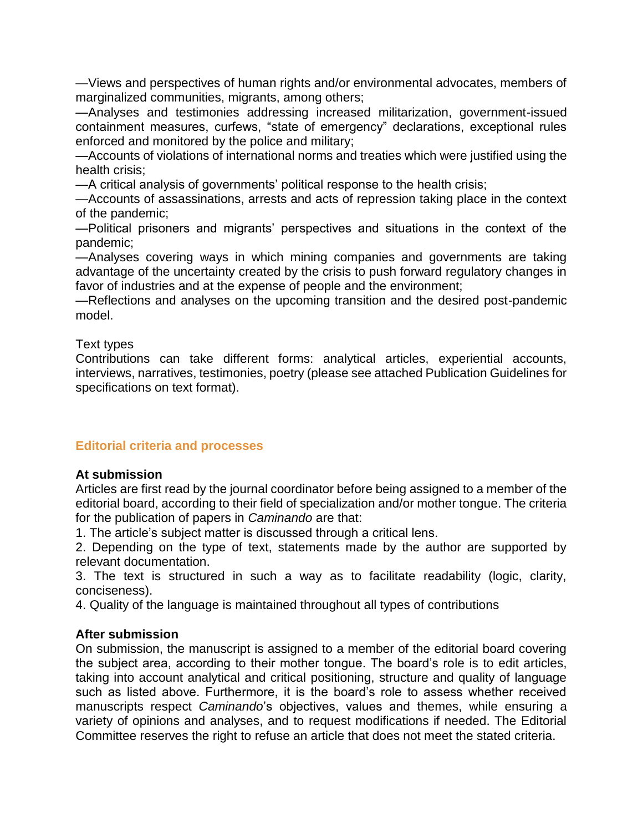—Views and perspectives of human rights and/or environmental advocates, members of marginalized communities, migrants, among others;

—Analyses and testimonies addressing increased militarization, government-issued containment measures, curfews, "state of emergency" declarations, exceptional rules enforced and monitored by the police and military;

—Accounts of violations of international norms and treaties which were justified using the health crisis;

—A critical analysis of governments' political response to the health crisis;

—Accounts of assassinations, arrests and acts of repression taking place in the context of the pandemic;

—Political prisoners and migrants' perspectives and situations in the context of the pandemic;

—Analyses covering ways in which mining companies and governments are taking advantage of the uncertainty created by the crisis to push forward regulatory changes in favor of industries and at the expense of people and the environment;

—Reflections and analyses on the upcoming transition and the desired post-pandemic model.

#### Text types

Contributions can take different forms: analytical articles, experiential accounts, interviews, narratives, testimonies, poetry (please see attached Publication Guidelines for specifications on text format).

# **Editorial criteria and processes**

# **At submission**

Articles are first read by the journal coordinator before being assigned to a member of the editorial board, according to their field of specialization and/or mother tongue. The criteria for the publication of papers in *Caminando* are that:

1. The article's subject matter is discussed through a critical lens.

2. Depending on the type of text, statements made by the author are supported by relevant documentation.

3. The text is structured in such a way as to facilitate readability (logic, clarity, conciseness).

4. Quality of the language is maintained throughout all types of contributions

# **After submission**

On submission, the manuscript is assigned to a member of the editorial board covering the subject area, according to their mother tongue. The board's role is to edit articles, taking into account analytical and critical positioning, structure and quality of language such as listed above. Furthermore, it is the board's role to assess whether received manuscripts respect *Caminando*'s objectives, values and themes, while ensuring a variety of opinions and analyses, and to request modifications if needed. The Editorial Committee reserves the right to refuse an article that does not meet the stated criteria.